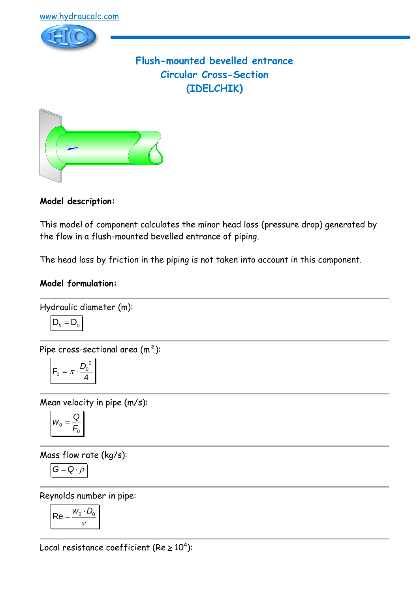

# **Flush-mounted bevelled entrance Circular Cross-Section (IDELCHIK)**



**Model description:**

This model of component calculates the minor head loss (pressure drop) generated by the flow in a flush-mounted bevelled entrance of piping.

The head loss by friction in the piping is not taken into account in this component.

# **Model formulation:**

Hydraulic diameter (m):

$$
D_h = D_0
$$

Pipe cross-sectional area (m²):

$$
F_0 = \pi \cdot \frac{D_0^2}{4}
$$

Mean velocity in pipe (m/s):

$$
w_0 = \frac{Q}{F_0}
$$

Mass flow rate (kg/s):

$$
G=Q\cdot \rho
$$

Reynolds number in pipe:

$$
\mathsf{Re} = \frac{w_0 \cdot D_0}{v}
$$

Local resistance coefficient (Re  $\geq 10^4$ ):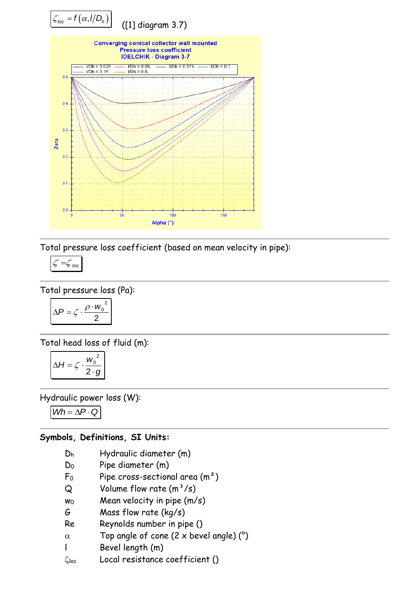

Total pressure loss coefficient (based on mean velocity in pipe):

$$
\zeta = \zeta_{loc}
$$

Total pressure loss (Pa):

$$
\Delta P = \zeta \cdot \frac{\rho \cdot w_0^2}{2}
$$

Total head loss of fluid (m):

$$
\Delta H = \zeta \cdot \frac{w_0^2}{2 \cdot g}
$$

Hydraulic power loss (W):

 $Wh = \Delta P \cdot Q$ 

# **Symbols, Definitions, SI Units:**

- D<sup>h</sup> Hydraulic diameter (m)
- D<sup>0</sup> Pipe diameter (m)
- $F_0$  Pipe cross-sectional area  $(m^2)$
- $Q$  Volume flow rate  $(m^3/s)$
- $wo$  Mean velocity in pipe  $(m/s)$
- G Mass flow rate (kg/s)
- Re Reynolds number in pipe ()
- $\alpha$  Top angle of cone (2 x bevel angle) (°)
- l Bevel length (m)
- loc Local resistance coefficient ()